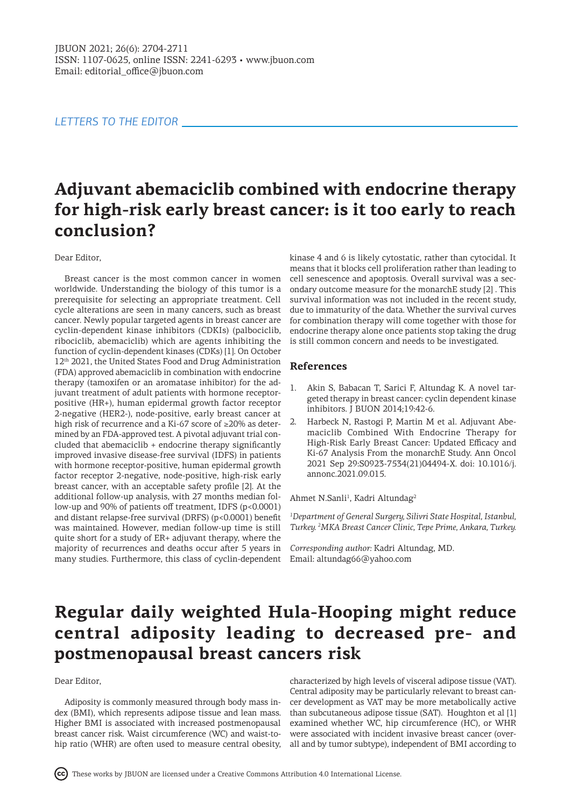### *LETTERS TO THE EDITOR*

# **Adjuvant abemaciclib combined with endocrine therapy for high-risk early breast cancer: is it too early to reach conclusion?**

#### Dear Editor,

Breast cancer is the most common cancer in women worldwide. Understanding the biology of this tumor is a prerequisite for selecting an appropriate treatment. Cell cycle alterations are seen in many cancers, such as breast cancer. Newly popular targeted agents in breast cancer are cyclin-dependent kinase inhibitors (CDKIs) (palbociclib, ribociclib, abemaciclib) which are agents inhibiting the function of cyclin-dependent kinases (CDKs) [1]. On October 12<sup>th</sup> 2021, the United States Food and Drug Administration (FDA) approved abemaciclib in combination with endocrine therapy (tamoxifen or an aromatase inhibitor) for the adjuvant treatment of adult patients with hormone receptorpositive (HR+), human epidermal growth factor receptor 2-negative (HER2-), node-positive, early breast cancer at high risk of recurrence and a Ki-67 score of ≥20% as determined by an FDA-approved test. A pivotal adjuvant trial concluded that abemaciclib + endocrine therapy significantly improved invasive disease-free survival (IDFS) in patients with hormone receptor-positive, human epidermal growth factor receptor 2-negative, node-positive, high-risk early breast cancer, with an acceptable safety profile [2]. At the additional follow-up analysis, with 27 months median follow-up and 90% of patients off treatment, IDFS (p<0.0001) and distant relapse-free survival (DRFS) (p<0.0001) benefit was maintained. However, median follow-up time is still quite short for a study of ER+ adjuvant therapy, where the majority of recurrences and deaths occur after 5 years in many studies. Furthermore, this class of cyclin-dependent

kinase 4 and 6 is likely cytostatic, rather than cytocidal. It means that it blocks cell proliferation rather than leading to cell senescence and apoptosis. Overall survival was a secondary outcome measure for the monarchE study [2] . This survival information was not included in the recent study, due to immaturity of the data. Whether the survival curves for combination therapy will come together with those for endocrine therapy alone once patients stop taking the drug is still common concern and needs to be investigated.

### **References**

- 1. Akin S, Babacan T, Sarici F, Altundag K. A novel targeted therapy in breast cancer: cyclin dependent kinase inhibitors. J BUON 2014;19:42-6.
- 2. Harbeck N, Rastogi P, Martin M et al. Adjuvant Abemaciclib Combined With Endocrine Therapy for High-Risk Early Breast Cancer: Updated Efficacy and Ki-67 Analysis From the monarchE Study. Ann Oncol 2021 Sep 29:S0923-7534(21)04494-X. doi: 10.1016/j. annonc.2021.09.015.

#### Ahmet N.Sanli<sup>1</sup>, Kadri Altundag<sup>2</sup>

*1 Department of General Surgery, Silivri State Hospital, Istanbul, Turkey. 2 MKA Breast Cancer Clinic, Tepe Prime, Ankara, Turkey.* 

*Corresponding author:* Kadri Altundag, MD. Email: altundag66@yahoo.com

## **Regular daily weighted Hula-Hooping might reduce central adiposity leading to decreased pre- and postmenopausal breast cancers risk**

#### Dear Editor,

Adiposity is commonly measured through body mass index (BMI), which represents adipose tissue and lean mass. Higher BMI is associated with increased postmenopausal breast cancer risk. Waist circumference (WC) and waist-tohip ratio (WHR) are often used to measure central obesity,

characterized by high levels of visceral adipose tissue (VAT). Central adiposity may be particularly relevant to breast cancer development as VAT may be more metabolically active than subcutaneous adipose tissue (SAT). Houghton et al [1] examined whether WC, hip circumference (HC), or WHR were associated with incident invasive breast cancer (overall and by tumor subtype), independent of BMI according to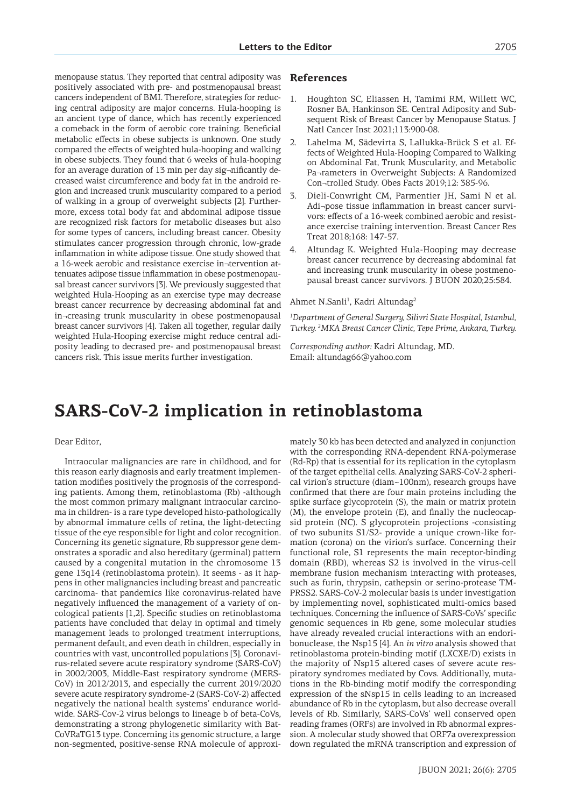menopause status. They reported that central adiposity was positively associated with pre- and postmenopausal breast cancers independent of BMI. Therefore, strategies for reducing central adiposity are major concerns. Hula-hooping is an ancient type of dance, which has recently experienced a comeback in the form of aerobic core training. Beneficial metabolic effects in obese subjects is unknown. One study compared the effects of weighted hula-hooping and walking in obese subjects. They found that 6 weeks of hula-hooping for an average duration of 13 min per day sig¬nificantly decreased waist circumference and body fat in the android region and increased trunk muscularity compared to a period of walking in a group of overweight subjects [2]. Furthermore, excess total body fat and abdominal adipose tissue are recognized risk factors for metabolic diseases but also for some types of cancers, including breast cancer. Obesity stimulates cancer progression through chronic, low-grade inflammation in white adipose tissue. One study showed that a 16-week aerobic and resistance exercise in¬tervention attenuates adipose tissue inflammation in obese postmenopausal breast cancer survivors [3]. We previously suggested that weighted Hula-Hooping as an exercise type may decrease breast cancer recurrence by decreasing abdominal fat and in¬creasing trunk muscularity in obese postmenopausal breast cancer survivors [4]. Taken all together, regular daily weighted Hula-Hooping exercise might reduce central adiposity leading to decrased pre- and postmenopausal breast cancers risk. This issue merits further investigation.

### **References**

- 1. Houghton SC, Eliassen H, Tamimi RM, Willett WC, Rosner BA, Hankinson SE. Central Adiposity and Subsequent Risk of Breast Cancer by Menopause Status. J Natl Cancer Inst 2021;113:900-08.
- Lahelma M, Sädevirta S, Lallukka-Brück S et al. Effects of Weighted Hula-Hooping Compared to Walking on Abdominal Fat, Trunk Muscularity, and Metabolic Pa¬rameters in Overweight Subjects: A Randomized Con¬trolled Study. Obes Facts 2019;12: 385-96.
- Dieli-Conwright CM, Parmentier JH, Sami N et al. Adi¬pose tissue inflammation in breast cancer survivors: effects of a 16-week combined aerobic and resistance exercise training intervention. Breast Cancer Res Treat 2018;168: 147-57.
- 4. Altundag K. Weighted Hula-Hooping may decrease breast cancer recurrence by decreasing abdominal fat and increasing trunk muscularity in obese postmenopausal breast cancer survivors. J BUON 2020;25:584.

#### Ahmet N.Sanli<sup>1</sup>, Kadri Altundag<sup>2</sup>

*1 Department of General Surgery, Silivri State Hospital, Istanbul, Turkey. 2 MKA Breast Cancer Clinic, Tepe Prime, Ankara, Turkey.* 

*Corresponding author:* Kadri Altundag, MD. Email: altundag66@yahoo.com

## **SARS-CoV-2 implication in retinoblastoma**

#### Dear Editor,

Intraocular malignancies are rare in childhood, and for this reason early diagnosis and early treatment implementation modifies positively the prognosis of the corresponding patients. Among them, retinoblastoma (Rb) -although the most common primary malignant intraocular carcinoma in children- is a rare type developed histo-pathologically by abnormal immature cells of retina, the light-detecting tissue of the eye responsible for light and color recognition. Concerning its genetic signature, Rb suppressor gene demonstrates a sporadic and also hereditary (germinal) pattern caused by a congenital mutation in the chromosome 13 gene 13q14 (retinoblastoma protein). It seems - as it happens in other malignancies including breast and pancreatic carcinoma- that pandemics like coronavirus-related have negatively influenced the management of a variety of oncological patients [1,2]. Specific studies on retinoblastoma patients have concluded that delay in optimal and timely management leads to prolonged treatment interruptions, permanent default, and even death in children, especially in countries with vast, uncontrolled populations [3]. Coronavirus-related severe acute respiratory syndrome (SARS-CoV) in 2002/2003, Middle-East respiratory syndrome (MERS-CoV) in 2012/2013, and especially the current 2019/2020 severe acute respiratory syndrome-2 (SARS-CoV-2) affected negatively the national health systems' endurance worldwide. SARS-Cov-2 virus belongs to lineage b of beta-CoVs, demonstrating a strong phylogenetic similarity with Bat-CoVRaTG13 type. Concerning its genomic structure, a large non-segmented, positive-sense RNA molecule of approximately 30 kb has been detected and analyzed in conjunction with the corresponding RNA-dependent RNA-polymerase (Rd-Rp) that is essential for its replication in the cytoplasm of the target epithelial cells. Analyzing SARS-CoV-2 spherical virion's structure (diam~100nm), research groups have confirmed that there are four main proteins including the spike surface glycoprotein (S), the main or matrix protein (M), the envelope protein (E), and finally the nucleocapsid protein (NC). S glycoprotein projections -consisting of two subunits S1/S2- provide a unique crown-like formation (corona) on the virion's surface. Concerning their functional role, S1 represents the main receptor-binding domain (RBD), whereas S2 is involved in the virus-cell membrane fusion mechanism interacting with proteases, such as furin, thrypsin, cathepsin or serino-protease TM-PRSS2. SARS-CoV-2 molecular basis is under investigation by implementing novel, sophisticated multi-omics based techniques. Concerning the influence of SARS-CoVs' specific genomic sequences in Rb gene, some molecular studies have already revealed crucial interactions with an endoribonuclease, the Nsp15 [4]. An *in vitro* analysis showed that retinoblastoma protein-binding motif (LXCXE/D) exists in the majority of Nsp15 altered cases of severe acute respiratory syndromes mediated by Covs. Additionally, mutations in the Rb-binding motif modify the corresponding expression of the sNsp15 in cells leading to an increased abundance of Rb in the cytoplasm, but also decrease overall levels of Rb. Similarly, SARS-CoVs' well conserved open reading frames (ORFs) are involved in Rb abnormal expression. A molecular study showed that ORF7a overexpression down regulated the mRNA transcription and expression of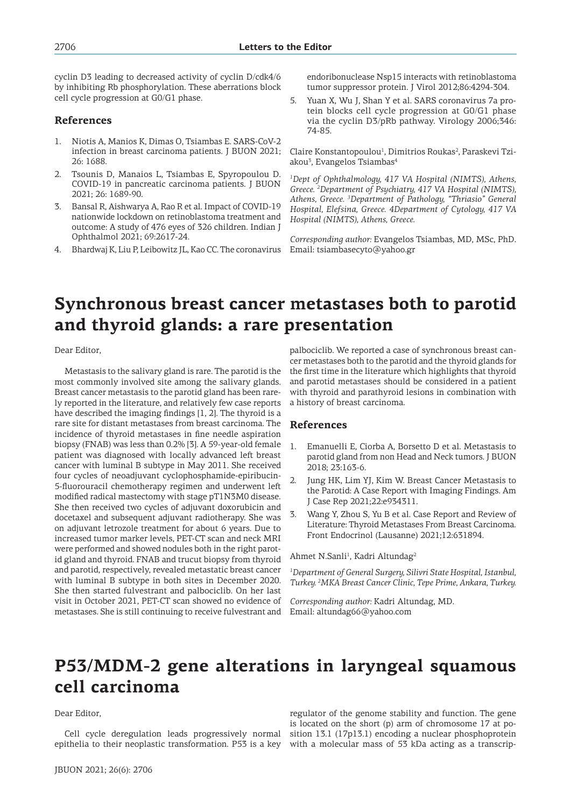cyclin D3 leading to decreased activity of cyclin D/cdk4/6 by inhibiting Rb phosphorylation. These aberrations block cell cycle progression at G0/G1 phase.

### **References**

- 1. Niotis A, Manios K, Dimas O, Tsiambas E. SARS-CoV-2 infection in breast carcinoma patients. J BUON 2021; 26: 1688.
- 2. Tsounis D, Manaios L, Tsiambas E, Spyropoulou D. COVID-19 in pancreatic carcinoma patients. J BUON 2021; 26: 1689-90.
- 3. Bansal R, Aishwarya A, Rao R et al. Impact of COVID-19 nationwide lockdown on retinoblastoma treatment and outcome: A study of 476 eyes of 326 children. Indian J Ophthalmol 2021; 69:2617-24.
- 4. Bhardwaj K, Liu P, Leibowitz JL, Kao CC. The coronavirus

endoribonuclease Nsp15 interacts with retinoblastoma tumor suppressor protein. J Virol 2012;86:4294-304.

5. Yuan X, Wu J, Shan Y et al. SARS coronavirus 7a protein blocks cell cycle progression at G0/G1 phase via the cyclin D3/pRb pathway. Virology 2006;346: 74-85.

Claire Konstantopoulou<sup>1</sup>, Dimitrios Roukas<sup>2</sup>, Paraskevi Tziakou<sup>3</sup>, Evangelos Tsiambas<sup>4</sup>

*1 Dept of Ophthalmology, 417 VA Hospital (NIMTS), Athens, Greece. 2 Department of Psychiatry, 417 VA Hospital (NIMTS), Athens, Greece. 3 Department of Pathology, "Thriasio" General Hospital, Elefsina, Greece. 4Department of Cytology, 417 VA Hospital (NIMTS), Athens, Greece.* 

*Corresponding author:* Evangelos Tsiambas, MD, MSc, PhD. Email: tsiambasecyto@yahoo.gr

## **Synchronous breast cancer metastases both to parotid and thyroid glands: a rare presentation**

Dear Editor,

Metastasis to the salivary gland is rare. The parotid is the most commonly involved site among the salivary glands. Breast cancer metastasis to the parotid gland has been rarely reported in the literature, and relatively few case reports have described the imaging findings [1, 2]. The thyroid is a rare site for distant metastases from breast carcinoma. The incidence of thyroid metastases in fine needle aspiration biopsy (FNAB) was less than 0.2% [3]. A 59-year-old female patient was diagnosed with locally advanced left breast cancer with luminal B subtype in May 2011. She received four cycles of neoadjuvant cyclophosphamide-epiribucin-5-fluorouracil chemotherapy regimen and underwent left modified radical mastectomy with stage pT1N3M0 disease. She then received two cycles of adjuvant doxorubicin and docetaxel and subsequent adjuvant radiotherapy. She was on adjuvant letrozole treatment for about 6 years. Due to increased tumor marker levels, PET-CT scan and neck MRI were performed and showed nodules both in the right parotid gland and thyroid. FNAB and trucut biopsy from thyroid and parotid, respectively, revealed metastatic breast cancer with luminal B subtype in both sites in December 2020. She then started fulvestrant and palbociclib. On her last visit in October 2021, PET-CT scan showed no evidence of metastases. She is still continuing to receive fulvestrant and

palbociclib. We reported a case of synchronous breast cancer metastases both to the parotid and the thyroid glands for the first time in the literature which highlights that thyroid and parotid metastases should be considered in a patient with thyroid and parathyroid lesions in combination with a history of breast carcinoma.

### **References**

- 1. Emanuelli E, Ciorba A, Borsetto D et al. Metastasis to parotid gland from non Head and Neck tumors. J BUON 2018; 23:163-6.
- 2. Jung HK, Lim YJ, Kim W. Breast Cancer Metastasis to the Parotid: A Case Report with Imaging Findings. Am J Case Rep 2021;22:e934311.
- 3. Wang Y, Zhou S, Yu B et al. Case Report and Review of Literature: Thyroid Metastases From Breast Carcinoma. Front Endocrinol (Lausanne) 2021;12:631894.

Ahmet N.Sanli<sup>1</sup>, Kadri Altundag<sup>2</sup>

*1 Department of General Surgery, Silivri State Hospital, Istanbul, Turkey. 2 MKA Breast Cancer Clinic, Tepe Prime, Ankara, Turkey.* 

*Corresponding author:* Kadri Altundag, MD. Email: altundag66@yahoo.com

## **P53/MDM-2 gene alterations in laryngeal squamous cell carcinoma**

#### Dear Editor,

Cell cycle deregulation leads progressively normal epithelia to their neoplastic transformation. P53 is a key

regulator of the genome stability and function. The gene is located on the short (p) arm of chromosome 17 at position 13.1 (17p13.1) encoding a nuclear phosphoprotein with a molecular mass of 53 kDa acting as a transcrip-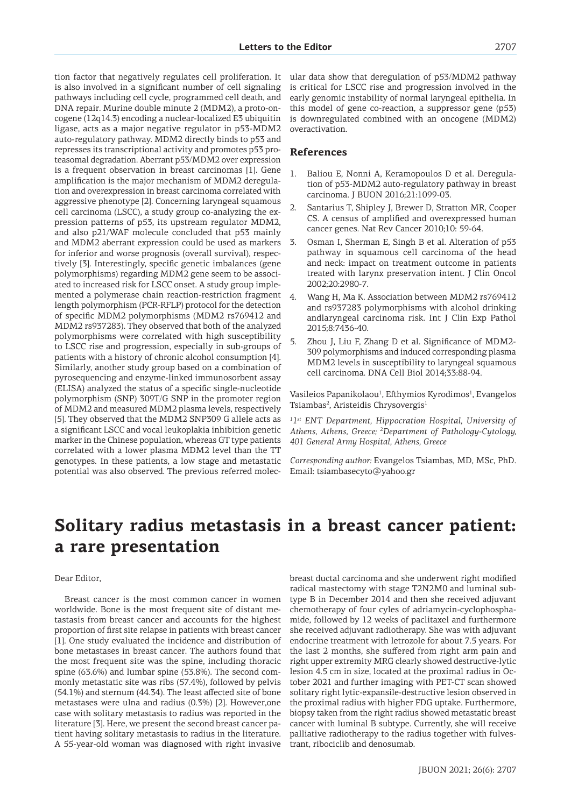tion factor that negatively regulates cell proliferation. It is also involved in a significant number of cell signaling pathways including cell cycle, programmed cell death, and DNA repair. Murine double minute 2 (MDM2), a proto-oncogene (12q14.3) encoding a nuclear-localized E3 ubiquitin ligase, acts as a major negative regulator in p53-MDM2 auto-regulatory pathway. MDM2 directly binds to p53 and represses its transcriptional activity and promotes p53 proteasomal degradation. Aberrant p53/MDM2 over expression is a frequent observation in breast carcinomas [1]. Gene amplification is the major mechanism of MDM2 deregulation and overexpression in breast carcinoma correlated with aggressive phenotype [2]. Concerning laryngeal squamous cell carcinoma (LSCC), a study group co-analyzing the expression patterns of p53, its upstream regulator MDM2, and also p21/WAF molecule concluded that p53 mainly and MDM2 aberrant expression could be used as markers for inferior and worse prognosis (overall survival), respectively [3]. Interestingly, specific genetic imbalances (gene polymorphisms) regarding MDM2 gene seem to be associated to increased risk for LSCC onset. A study group implemented a polymerase chain reaction-restriction fragment length polymorphism (PCR-RFLP) protocol for the detection of specific MDM2 polymorphisms (MDM2 rs769412 and MDM2 rs937283). They observed that both of the analyzed polymorphisms were correlated with high susceptibility to LSCC rise and progression, especially in sub-groups of patients with a history of chronic alcohol consumption [4]. Similarly, another study group based on a combination of pyrosequencing and enzyme-linked immunosorbent assay (ELISA) analyzed the status of a specific single-nucleotide polymorphism (SNP) 309T/G SNP in the promoter region of MDM2 and measured MDM2 plasma levels, respectively [5]. They observed that the MDM2 SNP309 G allele acts as a significant LSCC and vocal leukoplakia inhibition genetic marker in the Chinese population, whereas GT type patients correlated with a lower plasma MDM2 level than the TT genotypes. In these patients, a low stage and metastatic potential was also observed. The previous referred molec-

ular data show that deregulation of p53/MDM2 pathway is critical for LSCC rise and progression involved in the early genomic instability of normal laryngeal epithelia. In this model of gene co-reaction, a suppressor gene (p53) is downregulated combined with an oncogene (MDM2) overactivation.

#### **References**

- 1. Baliou E, Nonni A, Keramopoulos D et al. Deregulation of p53-MDM2 auto-regulatory pathway in breast carcinoma. J BUON 2016;21:1099-03.
- Santarius T, Shipley J, Brewer D, Stratton MR, Cooper CS. A census of amplified and overexpressed human cancer genes. Nat Rev Cancer 2010;10: 59-64.
- 3. Osman I, Sherman E, Singh B et al. Alteration of p53 pathway in squamous cell carcinoma of the head and neck: impact on treatment outcome in patients treated with larynx preservation intent. J Clin Oncol 2002;20:2980-7.
- 4. Wang H, Ma K. Association between MDM2 rs769412 and rs937283 polymorphisms with alcohol drinking andlaryngeal carcinoma risk. Int J Clin Exp Pathol 2015;8:7436-40.
- 5. Zhou J, Liu F, Zhang D et al. Significance of MDM2- 309 polymorphisms and induced corresponding plasma MDM2 levels in susceptibility to laryngeal squamous cell carcinoma. DNA Cell Biol 2014;33:88-94.

Vasileios Papanikolaou<sup>1</sup>, Efthymios Kyrodimos<sup>1</sup>, Evangelos Tsiambas<sup>2</sup>, Aristeidis Chrysovergis<sup>1</sup>

<sup>1</sup><sup>1st</sup> ENT Department, Hippocration Hospital, University of *Athens, Athens, Greece; 2 Department of Pathology-Cytology, 401 General Army Hospital, Athens, Greece* 

*Corresponding author:* Evangelos Tsiambas, MD, MSc, PhD. Email: tsiambasecyto@yahoo.gr

## **Solitary radius metastasis in a breast cancer patient: a rare presentation**

#### Dear Editor,

Breast cancer is the most common cancer in women worldwide. Bone is the most frequent site of distant metastasis from breast cancer and accounts for the highest proportion of first site relapse in patients with breast cancer [1]. One study evaluated the incidence and distribution of bone metastases in breast cancer. The authors found that the most frequent site was the spine, including thoracic spine (63.6%) and lumbar spine (53.8%). The second commonly metastatic site was ribs (57.4%), followed by pelvis (54.1%) and sternum (44.34). The least affected site of bone metastases were ulna and radius (0.3%) [2]. However,one case with solitary metastasis to radius was reported in the literature [3]. Here, we present the second breast cancer patient having solitary metastasis to radius in the literature. A 55-year-old woman was diagnosed with right invasive breast ductal carcinoma and she underwent right modified radical mastectomy with stage T2N2M0 and luminal subtype B in December 2014 and then she received adjuvant chemotherapy of four cyles of adriamycin-cyclophosphamide, followed by 12 weeks of paclitaxel and furthermore she received adjuvant radiotherapy. She was with adjuvant endocrine treatment with letrozole for about 7.5 years. For the last 2 months, she suffered from right arm pain and right upper extremity MRG clearly showed destructive-lytic lesion 4.5 cm in size, located at the proximal radius in October 2021 and further imaging with PET-CT scan showed solitary right lytic-expansile-destructive lesion observed in the proximal radius with higher FDG uptake. Furthermore, biopsy taken from the right radius showed metastatic breast cancer with luminal B subtype. Currently, she will receive palliative radiotherapy to the radius together with fulvestrant, ribociclib and denosumab.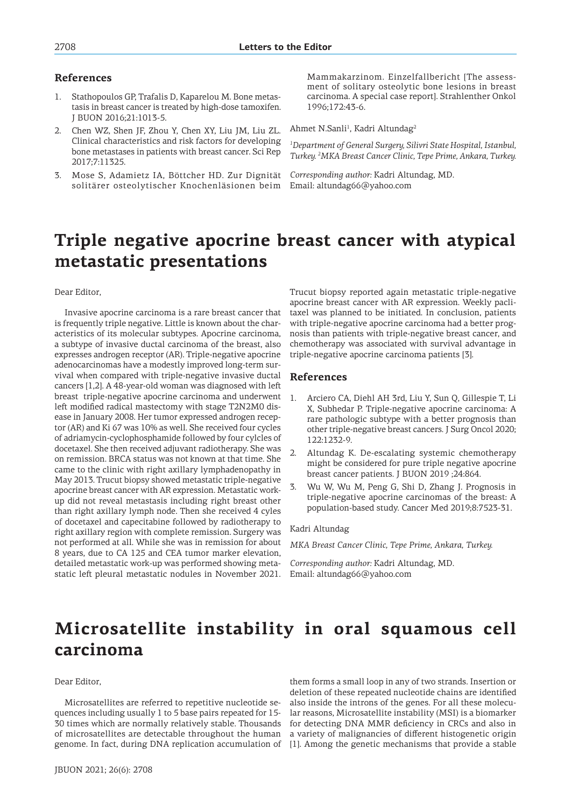### **References**

- 1. Stathopoulos GP, Trafalis D, Kaparelou M. Bone metastasis in breast cancer is treated by high-dose tamoxifen. J BUON 2016;21:1013-5.
- 2. Chen WZ, Shen JF, Zhou Y, Chen XY, Liu JM, Liu ZL. Clinical characteristics and risk factors for developing bone metastases in patients with breast cancer. Sci Rep 2017;7:11325.
- 3. Mose S, Adamietz IA, Böttcher HD. Zur Dignität solitärer osteolytischer Knochenläsionen beim Email: altundag66@yahoo.com

Mammakarzinom. Einzelfallbericht [The assessment of solitary osteolytic bone lesions in breast carcinoma. A special case report]. Strahlenther Onkol 1996;172:43-6.

Ahmet N.Sanli<sup>1</sup>, Kadri Altundag<sup>2</sup>

*1 Department of General Surgery, Silivri State Hospital, Istanbul, Turkey. 2 MKA Breast Cancer Clinic, Tepe Prime, Ankara, Turkey.* 

*Corresponding author:* Kadri Altundag, MD.

## **Triple negative apocrine breast cancer with atypical metastatic presentations**

Dear Editor,

Invasive apocrine carcinoma is a rare breast cancer that is frequently triple negative. Little is known about the characteristics of its molecular subtypes. Apocrine carcinoma, a subtype of invasive ductal carcinoma of the breast, also expresses androgen receptor (AR). Triple-negative apocrine adenocarcinomas have a modestly improved long-term survival when compared with triple-negative invasive ductal cancers [1,2]. A 48-year-old woman was diagnosed with left breast triple-negative apocrine carcinoma and underwent left modified radical mastectomy with stage T2N2M0 disease in January 2008. Her tumor expressed androgen receptor (AR) and Ki 67 was 10% as well. She received four cycles of adriamycin-cyclophosphamide followed by four cylcles of docetaxel. She then received adjuvant radiotherapy. She was on remission. BRCA status was not known at that time. She came to the clinic with right axillary lymphadenopathy in May 2013. Trucut biopsy showed metastatic triple-negative apocrine breast cancer with AR expression. Metastatic workup did not reveal metastasis including right breast other than right axillary lymph node. Then she received 4 cyles of docetaxel and capecitabine followed by radiotherapy to right axillary region with complete remission. Surgery was not performed at all. While she was in remission for about 8 years, due to CA 125 and CEA tumor marker elevation, detailed metastatic work-up was performed showing metastatic left pleural metastatic nodules in November 2021.

Trucut biopsy reported again metastatic triple-negative apocrine breast cancer with AR expression. Weekly paclitaxel was planned to be initiated. In conclusion, patients with triple-negative apocrine carcinoma had a better prognosis than patients with triple-negative breast cancer, and chemotherapy was associated with survival advantage in triple-negative apocrine carcinoma patients [3].

### **References**

- 1. Arciero CA, Diehl AH 3rd, Liu Y, Sun Q, Gillespie T, Li X, Subhedar P. Triple-negative apocrine carcinoma: A rare pathologic subtype with a better prognosis than other triple-negative breast cancers. J Surg Oncol 2020; 122:1232-9.
- 2. Altundag K. De-escalating systemic chemotherapy might be considered for pure triple negative apocrine breast cancer patients. J BUON 2019 ;24:864.
- 3. Wu W, Wu M, Peng G, Shi D, Zhang J. Prognosis in triple-negative apocrine carcinomas of the breast: A population-based study. Cancer Med 2019;8:7523-31.

#### Kadri Altundag

*MKA Breast Cancer Clinic, Tepe Prime, Ankara, Turkey.* 

*Corresponding author:* Kadri Altundag, MD. Email: altundag66@yahoo.com

## **Microsatellite instability in oral squamous cell carcinoma**

#### Dear Editor,

Microsatellites are referred to repetitive nucleotide sequences including usually 1 to 5 base pairs repeated for 15- 30 times which are normally relatively stable. Thousands of microsatellites are detectable throughout the human genome. In fact, during DNA replication accumulation of

them forms a small loop in any of two strands. Insertion or deletion of these repeated nucleotide chains are identified also inside the introns of the genes. For all these molecular reasons, Microsatellite instability (MSI) is a biomarker for detecting DNA MMR deficiency in CRCs and also in a variety of malignancies of different histogenetic origin [1]. Among the genetic mechanisms that provide a stable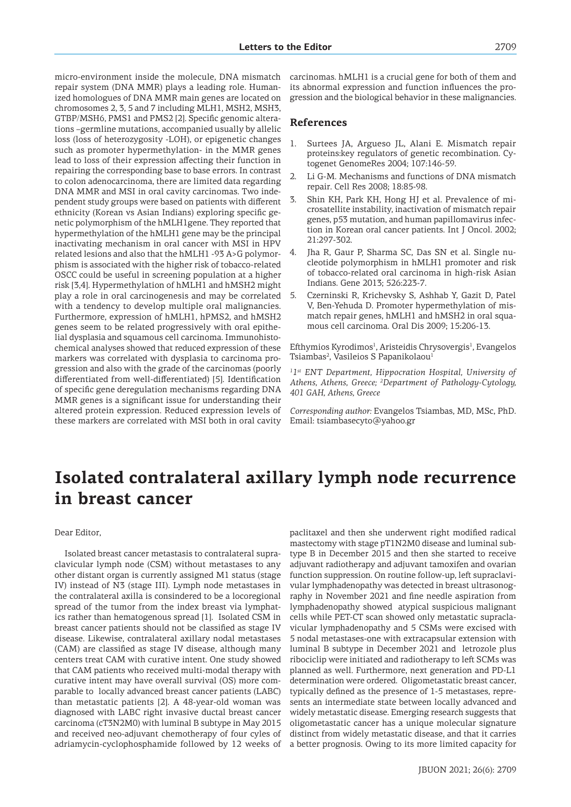micro-environment inside the molecule, DNA mismatch repair system (DNA MMR) plays a leading role. Humanized homologues of DNA MMR main genes are located on chromosomes 2, 3, 5 and 7 including MLH1, MSH2, MSH3, GTBP/MSH6, PMS1 and PMS2 [2]. Specific genomic alterations –germline mutations, accompanied usually by allelic loss (loss of heterozygosity -LOH), or epigenetic changes such as promoter hypermethylation- in the MMR genes lead to loss of their expression affecting their function in repairing the corresponding base to base errors. In contrast to colon adenocarcinoma, there are limited data regarding DNA MMR and MSI in oral cavity carcinomas. Two independent study groups were based on patients with different ethnicity (Korean vs Asian Indians) exploring specific genetic polymorphism of the hMLH1gene. They reported that hypermethylation of the hMLH1 gene may be the principal inactivating mechanism in oral cancer with MSI in HPV related lesions and also that the hMLH1 -93 A>G polymorphism is associated with the higher risk of tobacco-related OSCC could be useful in screening population at a higher risk [3,4]. Hypermethylation of hMLH1 and hMSH2 might play a role in oral carcinogenesis and may be correlated with a tendency to develop multiple oral malignancies. Furthermore, expression of hMLH1, hPMS2, and hMSH2 genes seem to be related progressively with oral epithelial dysplasia and squamous cell carcinoma. Immunohistochemical analyses showed that reduced expression of these markers was correlated with dysplasia to carcinoma progression and also with the grade of the carcinomas (poorly differentiated from well-differentiated) [5]. Identification of specific gene deregulation mechanisms regarding DNA MMR genes is a significant issue for understanding their altered protein expression. Reduced expression levels of these markers are correlated with MSI both in oral cavity

carcinomas. hMLH1 is a crucial gene for both of them and its abnormal expression and function influences the progression and the biological behavior in these malignancies.

#### **References**

- 1. Surtees JA, Argueso JL, Alani E. Mismatch repair proteins:key regulators of genetic recombination. Cytogenet GenomeRes 2004; 107:146-59.
- 2. Li G-M. Mechanisms and functions of DNA mismatch repair. Cell Res 2008; 18:85-98.
- 3. Shin KH, Park KH, Hong HJ et al. Prevalence of microsatellite instability, inactivation of mismatch repair genes, p53 mutation, and human papillomavirus infection in Korean oral cancer patients. Int J Oncol. 2002; 21:297-302.
- 4. Jha R, Gaur P, Sharma SC, Das SN et al. Single nucleotide polymorphism in hMLH1 promoter and risk of tobacco-related oral carcinoma in high-risk Asian Indians. Gene 2013; 526:223-7.
- 5. Czerninski R, Krichevsky S, Ashhab Y, Gazit D, Patel V, Ben-Yehuda D. Promoter hypermethylation of mismatch repair genes, hMLH1 and hMSH2 in oral squamous cell carcinoma. Oral Dis 2009; 15:206-13.

Efthymios Kyrodimos<sup>1</sup>, Aristeidis Chrysovergis<sup>1</sup>, Evangelos Tsiambas<sup>2</sup>, Vasileios S Papanikolaou<sup>1</sup>

<sup>1</sup><sup>1st</sup> ENT Department, Hippocration Hospital, University of *Athens, Athens, Greece; 2 Department of Pathology-Cytology, 401 GAH, Athens, Greece*

*Corresponding author:* Evangelos Tsiambas, MD, MSc, PhD. Email: tsiambasecyto@yahoo.gr

## **Isolated contralateral axillary lymph node recurrence in breast cancer**

#### Dear Editor,

Isolated breast cancer metastasis to contralateral supraclavicular lymph node (CSM) without metastases to any other distant organ is currently assigned M1 status (stage IV) instead of N3 (stage III). Lymph node metastases in the contralateral axilla is consindered to be a locoregional spread of the tumor from the index breast via lymphatics rather than hematogenous spread [1]. Isolated CSM in breast cancer patients should not be classified as stage IV disease. Likewise, contralateral axillary nodal metastases (CAM) are classified as stage IV disease, although many centers treat CAM with curative intent. One study showed that CAM patients who received multi-modal therapy with curative intent may have overall survival (OS) more comparable to locally advanced breast cancer patients (LABC) than metastatic patients [2]. A 48-year-old woman was diagnosed with LABC right invasive ductal breast cancer carcinoma (cT3N2M0) with luminal B subtype in May 2015 and received neo-adjuvant chemotherapy of four cyles of adriamycin-cyclophosphamide followed by 12 weeks of paclitaxel and then she underwent right modified radical mastectomy with stage pT1N2M0 disease and luminal subtype B in December 2015 and then she started to receive adjuvant radiotherapy and adjuvant tamoxifen and ovarian function suppression. On routine follow-up, left supraclavivular lymphadenopathy was detected in breast ultrasonography in November 2021 and fine needle aspiration from lymphadenopathy showed atypical suspicious malignant cells while PET-CT scan showed only metastatic supraclavicular lymphadenopathy and 5 CSMs were excised with 5 nodal metastases-one with extracapsular extension with luminal B subtype in December 2021 and letrozole plus ribociclip were initiated and radiotherapy to left SCMs was planned as well. Furthermore, next generation and PD-L1 determination were ordered. Oligometastatic breast cancer, typically defined as the presence of 1-5 metastases, represents an intermediate state between locally advanced and widely metastatic disease. Emerging research suggests that oligometastatic cancer has a unique molecular signature distinct from widely metastatic disease, and that it carries a better prognosis. Owing to its more limited capacity for